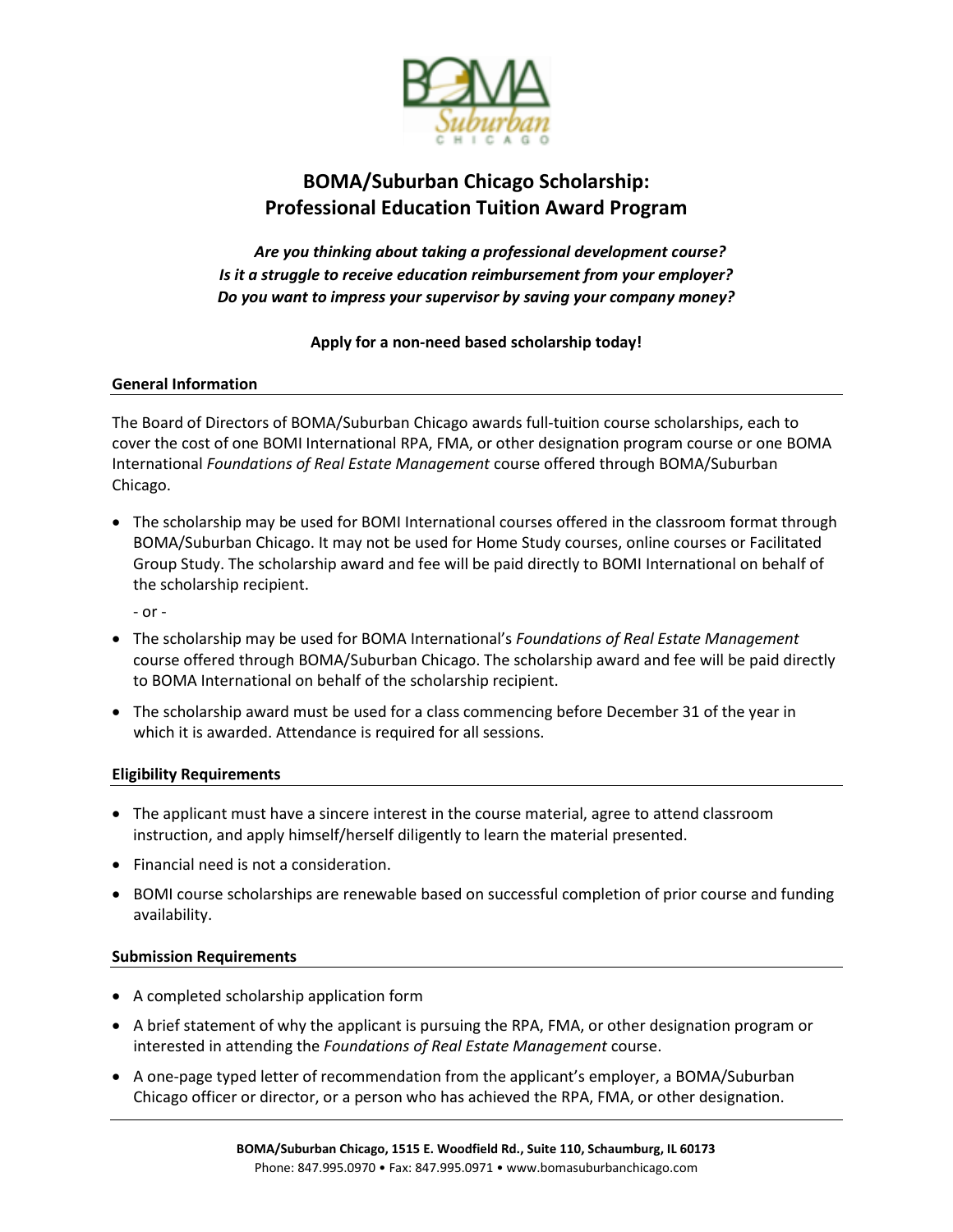

## **BOMA/Suburban Chicago Scholarship: Professional Education Tuition Award Program**

*Are you thinking about taking a professional development course? Is it a struggle to receive education reimbursement from your employer? Do you want to impress your supervisor by saving your company money?*

### **Apply for a non-need based scholarship today!**

### **General Information**

The Board of Directors of BOMA/Suburban Chicago awards full-tuition course scholarships, each to cover the cost of one BOMI International RPA, FMA, or other designation program course or one BOMA International *Foundations of Real Estate Management* course offered through BOMA/Suburban Chicago.

• The scholarship may be used for BOMI International courses offered in the classroom format through BOMA/Suburban Chicago. It may not be used for Home Study courses, online courses or Facilitated Group Study. The scholarship award and fee will be paid directly to BOMI International on behalf of the scholarship recipient.

- or -

- The scholarship may be used for BOMA International's *Foundations of Real Estate Management*  course offered through BOMA/Suburban Chicago. The scholarship award and fee will be paid directly to BOMA International on behalf of the scholarship recipient.
- The scholarship award must be used for a class commencing before December 31 of the year in which it is awarded. Attendance is required for all sessions.

### **Eligibility Requirements**

- The applicant must have a sincere interest in the course material, agree to attend classroom instruction, and apply himself/herself diligently to learn the material presented.
- Financial need is not a consideration.
- BOMI course scholarships are renewable based on successful completion of prior course and funding availability.

### **Submission Requirements**

- A completed scholarship application form
- A brief statement of why the applicant is pursuing the RPA, FMA, or other designation program or interested in attending the *Foundations of Real Estate Management* course.
- A one-page typed letter of recommendation from the applicant's employer, a BOMA/Suburban Chicago officer or director, or a person who has achieved the RPA, FMA, or other designation.